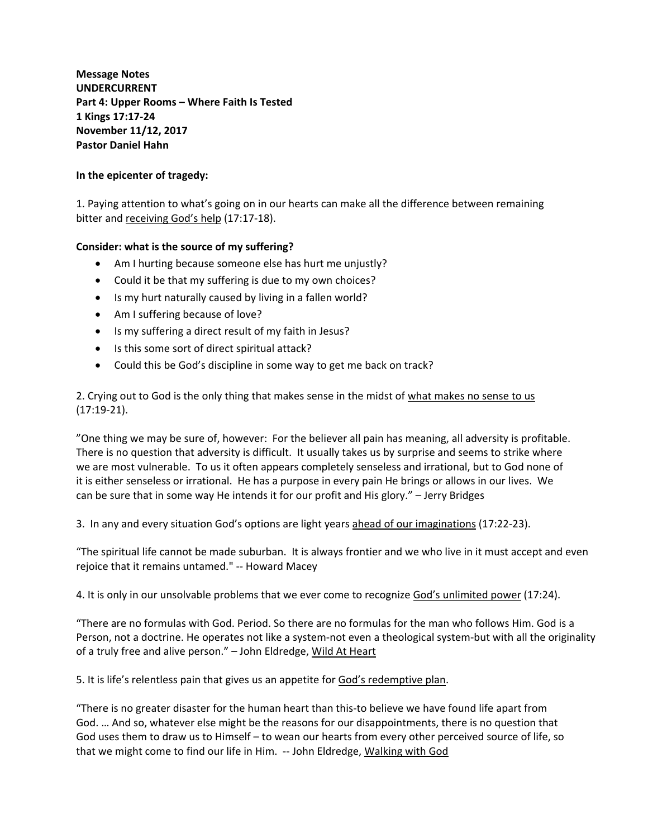**Message Notes UNDERCURRENT Part 4: Upper Rooms – Where Faith Is Tested 1 Kings 17:17‐24 November 11/12, 2017 Pastor Daniel Hahn**

## **In the epicenter of tragedy:**

1. Paying attention to what's going on in our hearts can make all the difference between remaining bitter and receiving God's help (17:17-18).

## **Consider: what is the source of my suffering?**

- Am I hurting because someone else has hurt me unjustly?
- Could it be that my suffering is due to my own choices?
- Is my hurt naturally caused by living in a fallen world?
- Am I suffering because of love?
- Is my suffering a direct result of my faith in Jesus?
- Is this some sort of direct spiritual attack?
- Could this be God's discipline in some way to get me back on track?

2. Crying out to God is the only thing that makes sense in the midst of what makes no sense to us (17:19‐21).

"One thing we may be sure of, however: For the believer all pain has meaning, all adversity is profitable. There is no question that adversity is difficult. It usually takes us by surprise and seems to strike where we are most vulnerable. To us it often appears completely senseless and irrational, but to God none of it is either senseless or irrational. He has a purpose in every pain He brings or allows in our lives. We can be sure that in some way He intends it for our profit and His glory." – Jerry Bridges

3. In any and every situation God's options are light years ahead of our imaginations (17:22‐23).

"The spiritual life cannot be made suburban. It is always frontier and we who live in it must accept and even rejoice that it remains untamed." ‐‐ Howard Macey

4. It is only in our unsolvable problems that we ever come to recognize God's unlimited power (17:24).

"There are no formulas with God. Period. So there are no formulas for the man who follows Him. God is a Person, not a doctrine. He operates not like a system-not even a theological system-but with all the originality of a truly free and alive person." *–* John Eldredge, Wild At Heart

5. It is life's relentless pain that gives us an appetite for God's redemptive plan.

"There is no greater disaster for the human heart than this‐to believe we have found life apart from God. … And so, whatever else might be the reasons for our disappointments, there is no question that God uses them to draw us to Himself – to wean our hearts from every other perceived source of life, so that we might come to find our life in Him. ‐‐ John Eldredge, Walking with God